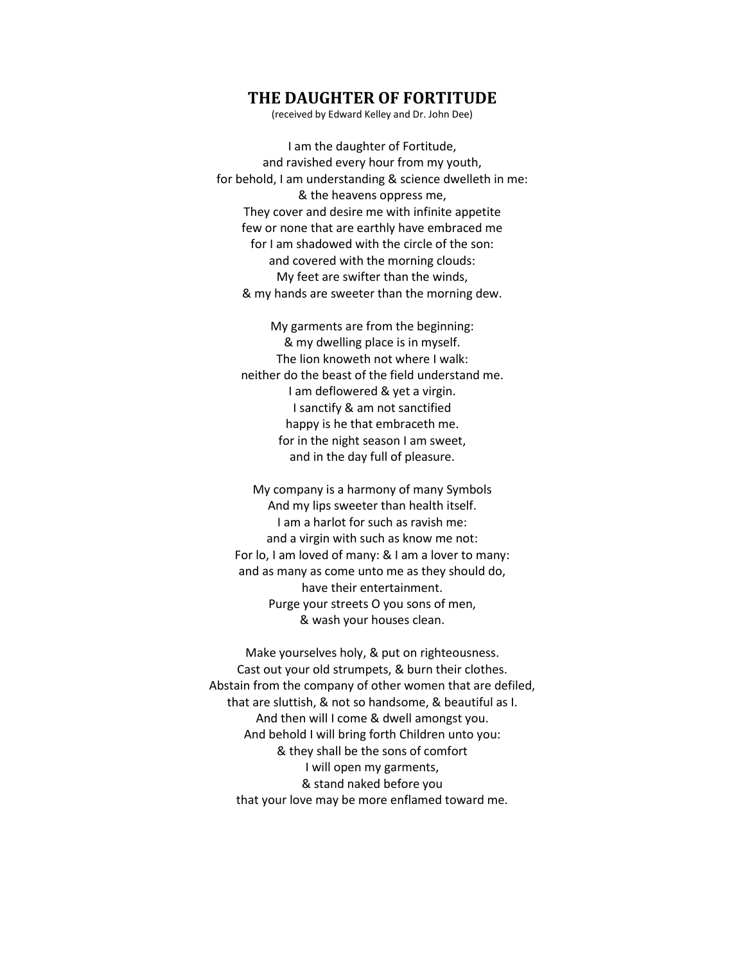## **THE DAUGHTER OF FORTITUDE**

(received by Edward Kelley and Dr. John Dee)

I am the daughter of Fortitude, and ravished every hour from my youth, for behold, I am understanding & science dwelleth in me: & the heavens oppress me, They cover and desire me with infinite appetite few or none that are earthly have embraced me for I am shadowed with the circle of the son: and covered with the morning clouds: My feet are swifter than the winds, & my hands are sweeter than the morning dew.

My garments are from the beginning: & my dwelling place is in myself. The lion knoweth not where I walk: neither do the beast of the field understand me. I am deflowered & yet a virgin. I sanctify & am not sanctified happy is he that embraceth me. for in the night season I am sweet, and in the day full of pleasure.

My company is a harmony of many Symbols And my lips sweeter than health itself. I am a harlot for such as ravish me: and a virgin with such as know me not: For lo, I am loved of many: & I am a lover to many: and as many as come unto me as they should do, have their entertainment. Purge your streets O you sons of men, & wash your houses clean.

Make yourselves holy, & put on righteousness. Cast out your old strumpets, & burn their clothes. Abstain from the company of other women that are defiled, that are sluttish, & not so handsome, & beautiful as I. And then will I come & dwell amongst you. And behold I will bring forth Children unto you: & they shall be the sons of comfort I will open my garments, & stand naked before you that your love may be more enflamed toward me.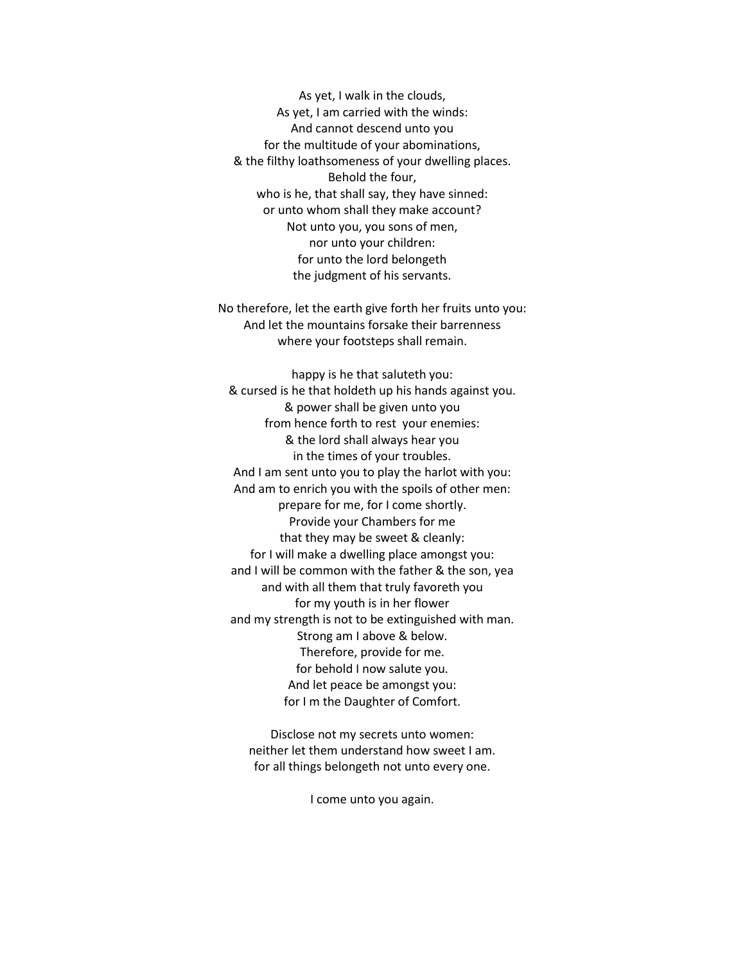As yet, I walk in the clouds, As yet, I am carried with the winds: And cannot descend unto you for the multitude of your abominations, & the filthy loathsomeness of your dwelling places. Behold the four, who is he, that shall say, they have sinned: or unto whom shall they make account? Not unto you, you sons of men, nor unto your children: for unto the lord belongeth the judgment of his servants.

No therefore, let the earth give forth her fruits unto you: And let the mountains forsake their barrenness where your footsteps shall remain.

happy is he that saluteth you: & cursed is he that holdeth up his hands against you. & power shall be given unto you from hence forth to rest your enemies: & the lord shall always hear you in the times of your troubles. And I am sent unto you to play the harlot with you: And am to enrich you with the spoils of other men: prepare for me, for I come shortly. Provide your Chambers for me that they may be sweet & cleanly: for I will make a dwelling place amongst you: and I will be common with the father & the son, yea and with all them that truly favoreth you for my youth is in her flower and my strength is not to be extinguished with man. Strong am I above & below. Therefore, provide for me. for behold I now salute you. And let peace be amongst you: for I m the Daughter of Comfort.

Disclose not my secrets unto women: neither let them understand how sweet I am. for all things belongeth not unto every one.

I come unto you again.